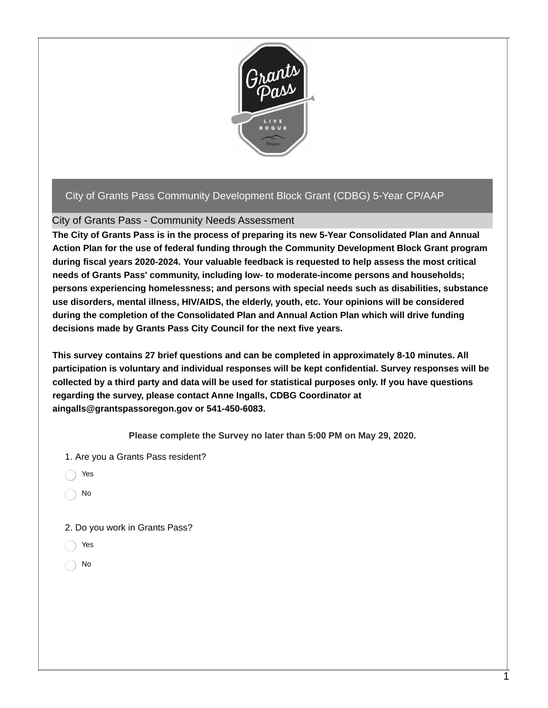

## City of Grants Pass Community Development Block Grant (CDBG) 5-Year CP/AAP

## City of Grants Pass - Community Needs Assessment

**The City of Grants Pass is in the process of preparing its new 5-Year Consolidated Plan and Annual Action Plan for the use of federal funding through the Community Development Block Grant program during fiscal years 2020-2024. Your valuable feedback is requested to help assess the most critical needs of Grants Pass' community, including low- to moderate-income persons and households; persons experiencing homelessness; and persons with special needs such as disabilities, substance use disorders, mental illness, HIV/AIDS, the elderly, youth, etc. Your opinions will be considered during the completion of the Consolidated Plan and Annual Action Plan which will drive funding decisions made by Grants Pass City Council for the next five years.**

**This survey contains 27 brief questions and can be completed in approximately 8-10 minutes. All participation is voluntary and individual responses will be kept confidential. Survey responses will be** collected by a third party and data will be used for statistical purposes only. If you have questions **regarding the survey, please contact Anne Ingalls, CDBG Coordinator at aingalls@grantspassoregon.gov or 541-450-6083.**

**Please complete the Survey no later than 5:00 PM on May 29, 2020.**

1. Are you a Grants Pass resident?

Yes

No

2. Do you work in Grants Pass?

- Yes
- No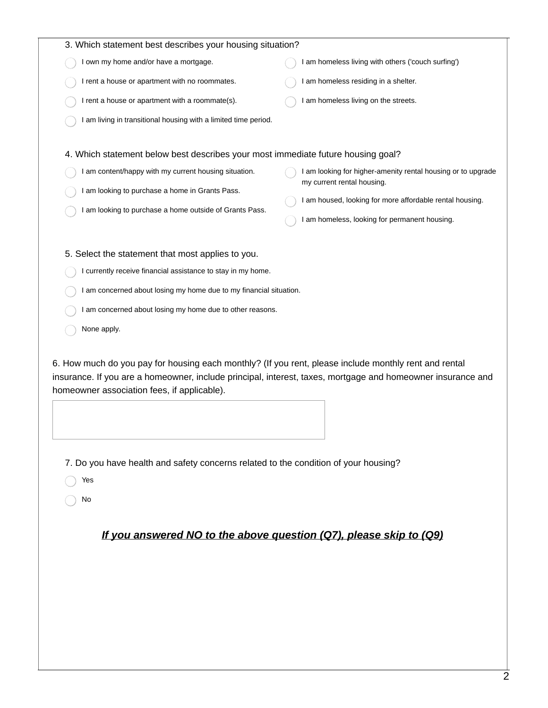| 3. Which statement best describes your housing situation?                                                                                                                                                                                                           |                                                                                                                                                                                                         |  |
|---------------------------------------------------------------------------------------------------------------------------------------------------------------------------------------------------------------------------------------------------------------------|---------------------------------------------------------------------------------------------------------------------------------------------------------------------------------------------------------|--|
| I own my home and/or have a mortgage.                                                                                                                                                                                                                               | I am homeless living with others ('couch surfing')                                                                                                                                                      |  |
| I rent a house or apartment with no roommates.                                                                                                                                                                                                                      | I am homeless residing in a shelter.                                                                                                                                                                    |  |
| I rent a house or apartment with a roommate(s).                                                                                                                                                                                                                     | I am homeless living on the streets.                                                                                                                                                                    |  |
| I am living in transitional housing with a limited time period.                                                                                                                                                                                                     |                                                                                                                                                                                                         |  |
| 4. Which statement below best describes your most immediate future housing goal?<br>I am content/happy with my current housing situation.<br>I am looking to purchase a home in Grants Pass.<br>I am looking to purchase a home outside of Grants Pass.             | I am looking for higher-amenity rental housing or to upgrade<br>my current rental housing.<br>I am housed, looking for more affordable rental housing.<br>I am homeless, looking for permanent housing. |  |
| 5. Select the statement that most applies to you.                                                                                                                                                                                                                   |                                                                                                                                                                                                         |  |
| I currently receive financial assistance to stay in my home.                                                                                                                                                                                                        |                                                                                                                                                                                                         |  |
| I am concerned about losing my home due to my financial situation.                                                                                                                                                                                                  |                                                                                                                                                                                                         |  |
| I am concerned about losing my home due to other reasons.                                                                                                                                                                                                           |                                                                                                                                                                                                         |  |
| None apply.                                                                                                                                                                                                                                                         |                                                                                                                                                                                                         |  |
| 6. How much do you pay for housing each monthly? (If you rent, please include monthly rent and rental<br>insurance. If you are a homeowner, include principal, interest, taxes, mortgage and homeowner insurance and<br>homeowner association fees, if applicable). |                                                                                                                                                                                                         |  |
| 7. Do you have health and safety concerns related to the condition of your housing?                                                                                                                                                                                 |                                                                                                                                                                                                         |  |
| Yes                                                                                                                                                                                                                                                                 |                                                                                                                                                                                                         |  |
| No                                                                                                                                                                                                                                                                  |                                                                                                                                                                                                         |  |
| If you answered NO to the above question (Q7), please skip to (Q9)                                                                                                                                                                                                  |                                                                                                                                                                                                         |  |
|                                                                                                                                                                                                                                                                     |                                                                                                                                                                                                         |  |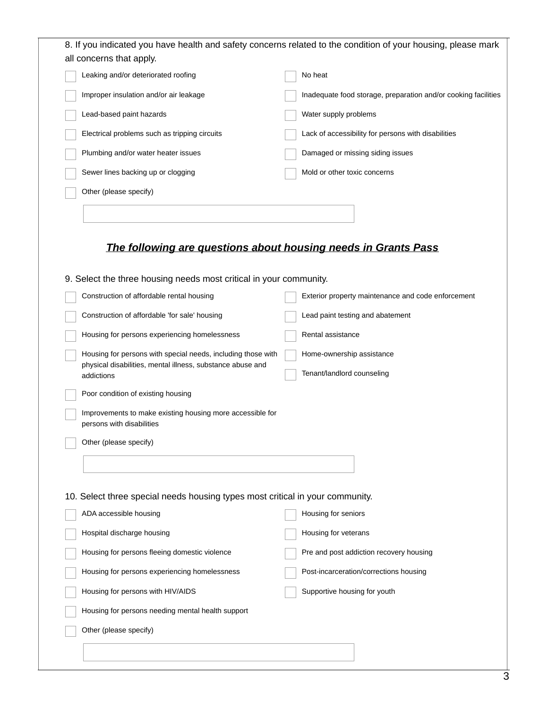| Leaking and/or deteriorated roofing                                                                                                  | No heat                                                        |
|--------------------------------------------------------------------------------------------------------------------------------------|----------------------------------------------------------------|
| Improper insulation and/or air leakage                                                                                               | Inadequate food storage, preparation and/or cooking facilities |
| Lead-based paint hazards                                                                                                             | Water supply problems                                          |
| Electrical problems such as tripping circuits                                                                                        | Lack of accessibility for persons with disabilities            |
| Plumbing and/or water heater issues                                                                                                  | Damaged or missing siding issues                               |
| Sewer lines backing up or clogging                                                                                                   | Mold or other toxic concerns                                   |
| Other (please specify)                                                                                                               |                                                                |
|                                                                                                                                      |                                                                |
|                                                                                                                                      |                                                                |
| The following are questions about housing needs in Grants Pass<br>9. Select the three housing needs most critical in your community. |                                                                |
| Construction of affordable rental housing                                                                                            | Exterior property maintenance and code enforcement             |
| Construction of affordable 'for sale' housing                                                                                        | Lead paint testing and abatement                               |
| Housing for persons experiencing homelessness                                                                                        | Rental assistance                                              |
| Housing for persons with special needs, including those with                                                                         | Home-ownership assistance                                      |
| physical disabilities, mental illness, substance abuse and<br>addictions                                                             | Tenant/landlord counseling                                     |
| Poor condition of existing housing                                                                                                   |                                                                |
| Improvements to make existing housing more accessible for<br>persons with disabilities                                               |                                                                |
| Other (please specify)                                                                                                               |                                                                |
|                                                                                                                                      |                                                                |
|                                                                                                                                      |                                                                |
| 10. Select three special needs housing types most critical in your community.                                                        |                                                                |
| ADA accessible housing                                                                                                               | Housing for seniors                                            |
|                                                                                                                                      |                                                                |
| Hospital discharge housing                                                                                                           | Housing for veterans                                           |
| Housing for persons fleeing domestic violence                                                                                        | Pre and post addiction recovery housing                        |
| Housing for persons experiencing homelessness                                                                                        | Post-incarceration/corrections housing                         |
| Housing for persons with HIV/AIDS                                                                                                    | Supportive housing for youth                                   |
| Housing for persons needing mental health support                                                                                    |                                                                |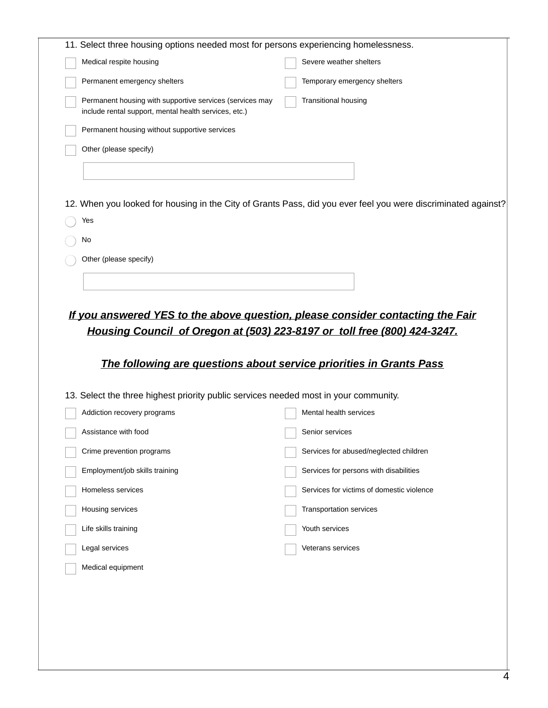| 11. Select three housing options needed most for persons experiencing homelessness.                               |                                                                                                               |
|-------------------------------------------------------------------------------------------------------------------|---------------------------------------------------------------------------------------------------------------|
| Medical respite housing                                                                                           | Severe weather shelters                                                                                       |
| Permanent emergency shelters                                                                                      | Temporary emergency shelters                                                                                  |
| Permanent housing with supportive services (services may<br>include rental support, mental health services, etc.) | <b>Transitional housing</b>                                                                                   |
| Permanent housing without supportive services                                                                     |                                                                                                               |
| Other (please specify)                                                                                            |                                                                                                               |
|                                                                                                                   |                                                                                                               |
|                                                                                                                   |                                                                                                               |
|                                                                                                                   | 12. When you looked for housing in the City of Grants Pass, did you ever feel you were discriminated against? |
| Yes                                                                                                               |                                                                                                               |
| No                                                                                                                |                                                                                                               |
|                                                                                                                   |                                                                                                               |
| Other (please specify)                                                                                            |                                                                                                               |
| Housing Council of Oregon at (503) 223-8197 or toll free (800) 424-3247.                                          | If you answered YES to the above question, please consider contacting the Fair                                |
| The following are questions about service priorities in Grants Pass                                               |                                                                                                               |
| 13. Select the three highest priority public services needed most in your community.                              |                                                                                                               |
| Addiction recovery programs                                                                                       | Mental health services                                                                                        |
| Assistance with food                                                                                              | Senior services                                                                                               |
| Crime prevention programs                                                                                         | Services for abused/neglected children                                                                        |
| Employment/job skills training                                                                                    | Services for persons with disabilities                                                                        |
| Homeless services                                                                                                 | Services for victims of domestic violence                                                                     |
| Housing services                                                                                                  | Transportation services                                                                                       |
| Life skills training                                                                                              | Youth services                                                                                                |
| Legal services                                                                                                    | Veterans services                                                                                             |
|                                                                                                                   |                                                                                                               |
|                                                                                                                   |                                                                                                               |
|                                                                                                                   |                                                                                                               |
|                                                                                                                   |                                                                                                               |
|                                                                                                                   |                                                                                                               |
|                                                                                                                   |                                                                                                               |
|                                                                                                                   |                                                                                                               |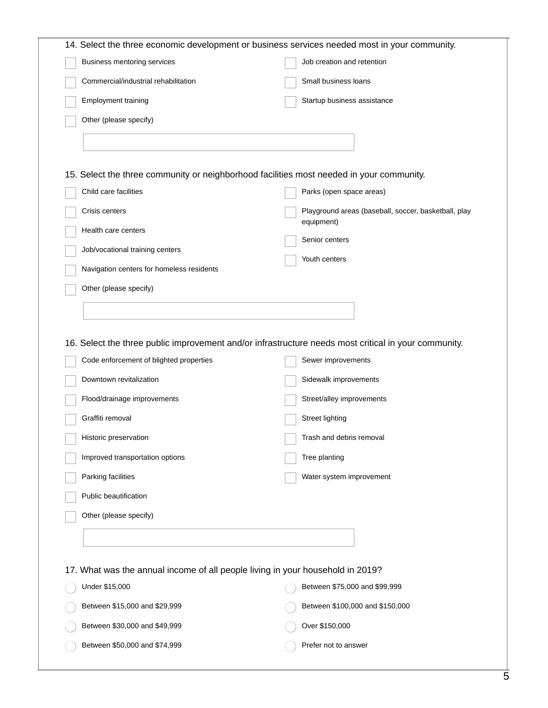| 14. Select the three economic development or business services needed most in your community.        |                                                                    |  |
|------------------------------------------------------------------------------------------------------|--------------------------------------------------------------------|--|
| Business mentoring services                                                                          | Job creation and retention                                         |  |
| Commercial/industrial rehabilitation                                                                 | Small business loans                                               |  |
| Employment training                                                                                  | Startup business assistance                                        |  |
| Other (please specify)                                                                               |                                                                    |  |
|                                                                                                      |                                                                    |  |
|                                                                                                      |                                                                    |  |
| 15. Select the three community or neighborhood facilities most needed in your community.             |                                                                    |  |
| Child care facilities                                                                                | Parks (open space areas)                                           |  |
| Crisis centers                                                                                       | Playground areas (baseball, soccer, basketball, play<br>equipment) |  |
| Health care centers                                                                                  | Senior centers                                                     |  |
| Job/vocational training centers                                                                      | Youth centers                                                      |  |
| Navigation centers for homeless residents                                                            |                                                                    |  |
| Other (please specify)                                                                               |                                                                    |  |
|                                                                                                      |                                                                    |  |
|                                                                                                      |                                                                    |  |
| 16. Select the three public improvement and/or infrastructure needs most critical in your community. |                                                                    |  |
| Code enforcement of blighted properties                                                              | Sewer improvements                                                 |  |
| Downtown revitalization                                                                              | Sidewalk improvements                                              |  |
| Flood/drainage improvements                                                                          | Street/alley improvements                                          |  |
| Graffiti removal                                                                                     | <b>Street lighting</b>                                             |  |
| Historic preservation                                                                                | Trash and debris removal                                           |  |
| Improved transportation options                                                                      | Tree planting                                                      |  |
| Parking facilities                                                                                   | Water system improvement                                           |  |
| Public beautification                                                                                |                                                                    |  |
| Other (please specify)                                                                               |                                                                    |  |
|                                                                                                      |                                                                    |  |
|                                                                                                      |                                                                    |  |
| 17. What was the annual income of all people living in your household in 2019?                       |                                                                    |  |
| Under \$15,000                                                                                       | Between \$75,000 and \$99,999                                      |  |
| Between \$15,000 and \$29,999                                                                        | Between \$100,000 and \$150,000                                    |  |
| Between \$30,000 and \$49,999                                                                        | Over \$150,000                                                     |  |
| Between \$50,000 and \$74,999                                                                        | Prefer not to answer                                               |  |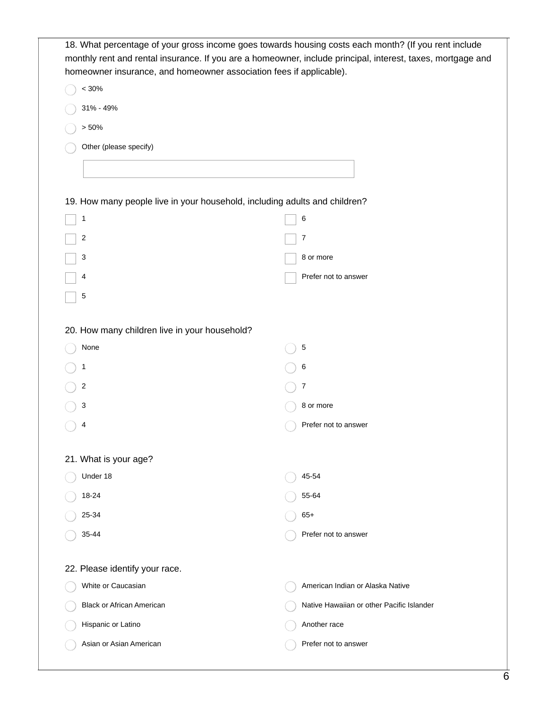| 18. What percentage of your gross income goes towards housing costs each month? (If you rent include<br>monthly rent and rental insurance. If you are a homeowner, include principal, interest, taxes, mortgage and<br>homeowner insurance, and homeowner association fees if applicable). |                                           |  |
|--------------------------------------------------------------------------------------------------------------------------------------------------------------------------------------------------------------------------------------------------------------------------------------------|-------------------------------------------|--|
| < 30%                                                                                                                                                                                                                                                                                      |                                           |  |
| 31% - 49%                                                                                                                                                                                                                                                                                  |                                           |  |
| > 50%                                                                                                                                                                                                                                                                                      |                                           |  |
| Other (please specify)                                                                                                                                                                                                                                                                     |                                           |  |
|                                                                                                                                                                                                                                                                                            |                                           |  |
| 19. How many people live in your household, including adults and children?                                                                                                                                                                                                                 |                                           |  |
| 1                                                                                                                                                                                                                                                                                          | 6                                         |  |
| 2                                                                                                                                                                                                                                                                                          | 7                                         |  |
|                                                                                                                                                                                                                                                                                            |                                           |  |
| 3                                                                                                                                                                                                                                                                                          | 8 or more                                 |  |
| 4                                                                                                                                                                                                                                                                                          | Prefer not to answer                      |  |
| 5                                                                                                                                                                                                                                                                                          |                                           |  |
| 20. How many children live in your household?                                                                                                                                                                                                                                              |                                           |  |
| None                                                                                                                                                                                                                                                                                       | 5                                         |  |
| 1                                                                                                                                                                                                                                                                                          | 6                                         |  |
| 2                                                                                                                                                                                                                                                                                          | 7                                         |  |
| 3                                                                                                                                                                                                                                                                                          | 8 or more                                 |  |
| 4                                                                                                                                                                                                                                                                                          | Prefer not to answer                      |  |
| 21. What is your age?                                                                                                                                                                                                                                                                      |                                           |  |
| Under 18                                                                                                                                                                                                                                                                                   | 45-54                                     |  |
| 18-24                                                                                                                                                                                                                                                                                      | 55-64                                     |  |
| 25-34                                                                                                                                                                                                                                                                                      | $65+$                                     |  |
| 35-44                                                                                                                                                                                                                                                                                      | Prefer not to answer                      |  |
|                                                                                                                                                                                                                                                                                            |                                           |  |
| 22. Please identify your race.                                                                                                                                                                                                                                                             |                                           |  |
| White or Caucasian                                                                                                                                                                                                                                                                         | American Indian or Alaska Native          |  |
| <b>Black or African American</b>                                                                                                                                                                                                                                                           | Native Hawaiian or other Pacific Islander |  |
| Hispanic or Latino                                                                                                                                                                                                                                                                         | Another race                              |  |
| Asian or Asian American                                                                                                                                                                                                                                                                    | Prefer not to answer                      |  |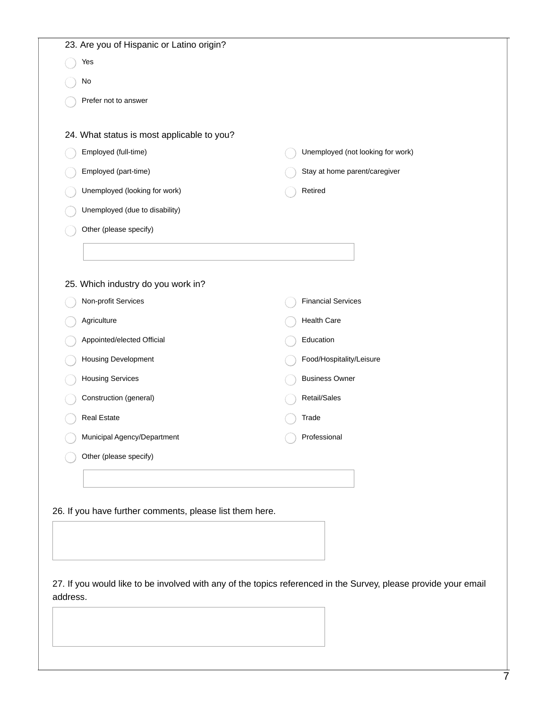|                                                                                                                 | 23. Are you of Hispanic or Latino origin?                |  |                                   |
|-----------------------------------------------------------------------------------------------------------------|----------------------------------------------------------|--|-----------------------------------|
|                                                                                                                 | Yes                                                      |  |                                   |
|                                                                                                                 | No                                                       |  |                                   |
|                                                                                                                 | Prefer not to answer                                     |  |                                   |
|                                                                                                                 |                                                          |  |                                   |
|                                                                                                                 | 24. What status is most applicable to you?               |  |                                   |
|                                                                                                                 | Employed (full-time)                                     |  | Unemployed (not looking for work) |
|                                                                                                                 | Employed (part-time)                                     |  | Stay at home parent/caregiver     |
|                                                                                                                 | Unemployed (looking for work)                            |  | Retired                           |
|                                                                                                                 | Unemployed (due to disability)                           |  |                                   |
|                                                                                                                 | Other (please specify)                                   |  |                                   |
|                                                                                                                 |                                                          |  |                                   |
|                                                                                                                 |                                                          |  |                                   |
|                                                                                                                 | 25. Which industry do you work in?                       |  |                                   |
|                                                                                                                 | Non-profit Services                                      |  | <b>Financial Services</b>         |
|                                                                                                                 | Agriculture                                              |  | <b>Health Care</b>                |
|                                                                                                                 | Appointed/elected Official                               |  | Education                         |
|                                                                                                                 | Housing Development                                      |  | Food/Hospitality/Leisure          |
|                                                                                                                 | <b>Housing Services</b>                                  |  | <b>Business Owner</b>             |
|                                                                                                                 | Construction (general)                                   |  | Retail/Sales                      |
|                                                                                                                 | <b>Real Estate</b>                                       |  | Trade                             |
|                                                                                                                 | Municipal Agency/Department                              |  | Professional                      |
|                                                                                                                 | Other (please specify)                                   |  |                                   |
|                                                                                                                 |                                                          |  |                                   |
|                                                                                                                 |                                                          |  |                                   |
|                                                                                                                 | 26. If you have further comments, please list them here. |  |                                   |
|                                                                                                                 |                                                          |  |                                   |
|                                                                                                                 |                                                          |  |                                   |
|                                                                                                                 |                                                          |  |                                   |
| 27. If you would like to be involved with any of the topics referenced in the Survey, please provide your email |                                                          |  |                                   |
| address.                                                                                                        |                                                          |  |                                   |
|                                                                                                                 |                                                          |  |                                   |
|                                                                                                                 |                                                          |  |                                   |